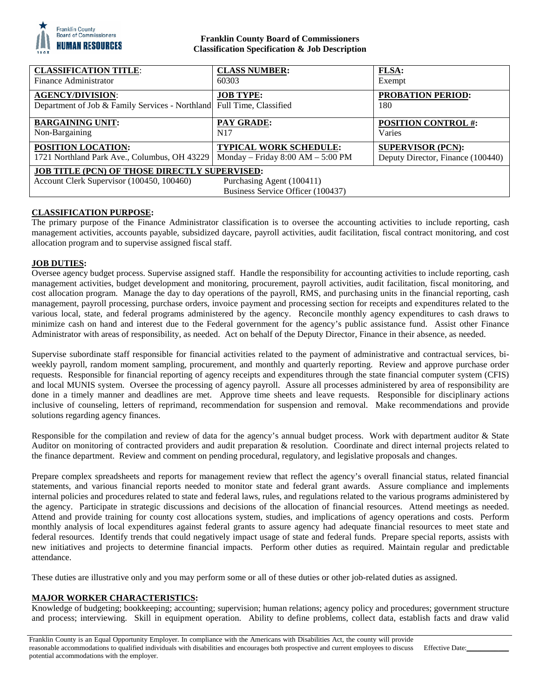

# **Franklin County Board of Commissioners Classification Specification & Job Description**

| <b>CLASSIFICATION TITLE:</b>                                          | <b>CLASS NUMBER:</b>                  | <b>FLSA:</b>                      |
|-----------------------------------------------------------------------|---------------------------------------|-----------------------------------|
| Finance Administrator                                                 | 60303                                 | Exempt                            |
| <b>AGENCY/DIVISION:</b>                                               | <b>JOB TYPE:</b>                      | <b>PROBATION PERIOD:</b>          |
| Department of Job & Family Services - Northland Full Time, Classified |                                       | 180                               |
| <b>BARGAINING UNIT:</b>                                               | <b>PAY GRADE:</b>                     | <b>POSITION CONTROL #:</b>        |
| Non-Bargaining                                                        | N <sub>17</sub>                       | Varies                            |
| POSITION LOCATION:                                                    | <b>TYPICAL WORK SCHEDULE:</b>         | <b>SUPERVISOR (PCN):</b>          |
| 1721 Northland Park Ave., Columbus, OH 43229                          | Monday – Friday $8:00$ AM – $5:00$ PM | Deputy Director, Finance (100440) |
| <b>JOB TITLE (PCN) OF THOSE DIRECTLY SUPERVISED:</b>                  |                                       |                                   |
| Account Clerk Supervisor (100450, 100460)                             | Purchasing Agent (100411)             |                                   |
|                                                                       | Business Service Officer (100437)     |                                   |

# **CLASSIFICATION PURPOSE:**

The primary purpose of the Finance Administrator classification is to oversee the accounting activities to include reporting, cash management activities, accounts payable, subsidized daycare, payroll activities, audit facilitation, fiscal contract monitoring, and cost allocation program and to supervise assigned fiscal staff.

# **JOB DUTIES:**

Oversee agency budget process. Supervise assigned staff. Handle the responsibility for accounting activities to include reporting, cash management activities, budget development and monitoring, procurement, payroll activities, audit facilitation, fiscal monitoring, and cost allocation program. Manage the day to day operations of the payroll, RMS, and purchasing units in the financial reporting, cash management, payroll processing, purchase orders, invoice payment and processing section for receipts and expenditures related to the various local, state, and federal programs administered by the agency. Reconcile monthly agency expenditures to cash draws to minimize cash on hand and interest due to the Federal government for the agency's public assistance fund. Assist other Finance Administrator with areas of responsibility, as needed. Act on behalf of the Deputy Director, Finance in their absence, as needed.

Supervise subordinate staff responsible for financial activities related to the payment of administrative and contractual services, biweekly payroll, random moment sampling, procurement, and monthly and quarterly reporting. Review and approve purchase order requests. Responsible for financial reporting of agency receipts and expenditures through the state financial computer system (CFIS) and local MUNIS system. Oversee the processing of agency payroll. Assure all processes administered by area of responsibility are done in a timely manner and deadlines are met. Approve time sheets and leave requests. Responsible for disciplinary actions inclusive of counseling, letters of reprimand, recommendation for suspension and removal. Make recommendations and provide solutions regarding agency finances.

Responsible for the compilation and review of data for the agency's annual budget process. Work with department auditor & State Auditor on monitoring of contracted providers and audit preparation & resolution. Coordinate and direct internal projects related to the finance department. Review and comment on pending procedural, regulatory, and legislative proposals and changes.

Prepare complex spreadsheets and reports for management review that reflect the agency's overall financial status, related financial statements, and various financial reports needed to monitor state and federal grant awards. Assure compliance and implements internal policies and procedures related to state and federal laws, rules, and regulations related to the various programs administered by the agency. Participate in strategic discussions and decisions of the allocation of financial resources. Attend meetings as needed. Attend and provide training for county cost allocations system, studies, and implications of agency operations and costs. Perform monthly analysis of local expenditures against federal grants to assure agency had adequate financial resources to meet state and federal resources. Identify trends that could negatively impact usage of state and federal funds. Prepare special reports, assists with new initiatives and projects to determine financial impacts. Perform other duties as required. Maintain regular and predictable attendance.

These duties are illustrative only and you may perform some or all of these duties or other job-related duties as assigned.

# **MAJOR WORKER CHARACTERISTICS:**

Knowledge of budgeting; bookkeeping; accounting; supervision; human relations; agency policy and procedures; government structure and process; interviewing. Skill in equipment operation. Ability to define problems, collect data, establish facts and draw valid

Franklin County is an Equal Opportunity Employer. In compliance with the Americans with Disabilities Act, the county will provide reasonable accommodations to qualified individuals with disabilities and encourages both prospective and current employees to discuss potential accommodations with the employer. Effective Date: